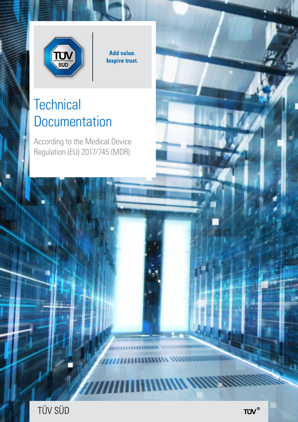

Add value. **Inspire trust.** 

# **Technical Documentation**

According to the Medical Device Regulation (EU) 2017/745 (MDR)



n mma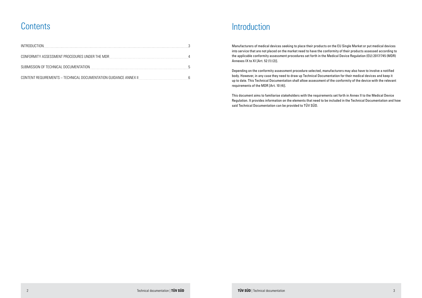## **Contents**

| <b>INTRODUCTION</b>                                              |  |
|------------------------------------------------------------------|--|
| CONFORMITY ASSESSMENT PROCEDURES UNDER THE MDR                   |  |
| SUBMISSION OF TECHNICAL DOCUMENTATION                            |  |
| CONTENT REQUIREMENTS - TECHNICAL DOCUMENTATION GUIDANCE ANNEX II |  |

### Introduction

Manufacturers of medical devices seeking to place their products on the EU Single Market or put medical devices into service that are not placed on the market need to have the conformity of their products assessed according to the applicable conformity assessment procedures set forth in the Medical Device Regulation (EU) 2017/745 (MDR) Annexes IX to XI [Art. 52 (1) (2)].

Depending on the conformity assessment procedure selected, manufacturers may also have to involve a notified body. However, in any case they need to draw up Technical Documentation for their medical devices and keep it up to date. This Technical Documentation shall allow assessment of the conformity of the device with the relevant requirements of the MDR [Art. 10 (4)].

This document aims to familiarise stakeholders with the requirements set forth in Annex II to the Medical Device Regulation. It provides information on the elements that need to be included in the Technical Documentation and how said Technical Documentation can be provided to TÜV SÜD.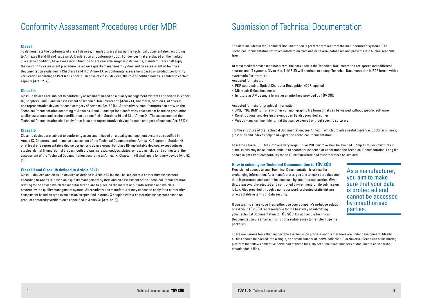## Conformity Assessment Procedures under MDR Submission of Technical Documentation

### **Class I**

To demonstrate the conformity of class I devices, manufacturers draw up the Technical Documentation according to Annexes II and III and issue an EU Declaration of Conformity (DoC). For devices that are placed on the market in a sterile condition, have a measuring function or are reusable surgical instruments, manufacturers shall apply the conformity assessment procedure based on a quality management system and on assessment of Technical Documentation explained in Chapters I and II of Annex IX, or conformity assessment based on product conformity verification according to Part A of Annex XI. In case of class I devices, the role of notified bodies is limited to certain aspects [Art. 52 (7)].

Class IIb devices are subject to conformity assessment based on a quality management system as specified in Annex IX, Chapters I and III and an assessment of the Technical Documentation (Annex IX, Chapter II, Section 4) of at least one representative device per generic device group. For class IIb implantable devices, except sutures, staples, dental fillings, dental braces, tooth crowns, screws, wedges, plates, wires, pins, clips and connectors, the assessment of the Technical Documentation according to Annex IX, Chapter II (4) shall apply for every device [Art. 52  $(4)$ ].

### **Class IIa**

Class IIa devices are subject to conformity assessment based on a quality management system as specified in Annex IX, Chapters I and II and an assessment of Technical Documentation (Annex IX, Chapter II, Section 4) of at least one representative device for each category of devices [Art. 52 (6)]. Alternatively, manufacturers can draw up the Technical Documentation according to Annexes II and III and opt for a conformity assessment based on production quality assurance and product verification as specified in Sections 10 and 18 of Annex XI. The assessment of the Technical Documentation shall apply for at least one representative device for each category of devices [Art. 52 (7)].

### **Class IIb**

- Accepted formats are:
- PDF, searchable, Optical Character Recognition (OCR) applied
- Microsoft Office documents
- In future as XML using a format or an interface provided by TÜV SÜD

Accepted formats for graphical information:

- § JPG, PNG, BMP, GIF or any other common graphic file format that can be viewed without specific software
- Constructional and design drawings can be also provided as files
- Videos any common file format that can be viewed without specific software

### **Class III and Class IIb defined in Article 52 (4)**

Class III devices and class IIb devices as defined in Article 52 (4) shall be subject to a conformity assessment according to Annex IX based on a quality management system and on assessment of the Technical Documentation relating to the device which the manufacturer plans to place on the market or put into service and which is covered by the quality management system. Alternatively, the manufacturer may choose to apply for a conformity assessment based on type examination as specified in Annex X coupled with a conformity assessment based on product conformity verification as specified in Annex XI [Art. 52 (3)].

The data included in the Technical Documentation is preferably taken from the manufacturer's systems. The Technical Documentation retrieves information from one or several databases and presents it in human-readable form.

At most medical device manufacturers, the data used in the Technical Documentation are spread over different sources and IT systems. Given this, TÜV SÜD will continue to accept Technical Documentation in PDF format with a systematic file structure.

For the structure of the Technical Documentation, see Annex II, which provides useful guidance. Bookmarks, links, glossaries and indexes help to navigate the Technical Documentation.

To merge several PDF files into one very large PDF or PDF portfolio shall be avoided. Complex folder structures in submissions may make it more difficult to search for evidence or understand the Technical Documentation. Long file names might affect compatibility to the IT infrastructure and must therefore be avoided.

### **How to submit your Technical Documentation to TÜV SÜD**

Provision of access to your Technical Documentation is critical for exchanging information. As a manufacturer, you aim to make sure that your data is protected and cannot be accessed by unauthorised parties. Given this, a password-protected and controlled environment for file submission is key. Files provided through a non-password-protected static link are unacceptable in terms of data security.

If you wish to share huge files, either use your company's in-house solution or ask your TÜV SÜD representative for the best way of submitting your Technical Documentation to TÜV SÜD. Do not send a Technical Documentation via email as this is not a suitable way to transfer huge file packages.

There are various tools that support the e-submission process and further tools are under development. Ideally, all files should be packed into a single, or a small number of, downloadable ZIP archive(s). Please use a file sharing platform that allows collective download of these files. Do not submit vast numbers of documents as separate downloadable files.

As a manufacturer, you aim to make sure that your data is protected and cannot be accessed by unauthorised parties.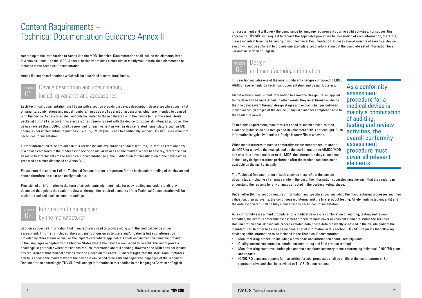## Content Requirements – Technical Documentation Guidance Annex II

According to the introduction to Annex II to the MDR, Technical Documentation shall include the elements listed in Annexes II and III to the MDR. Annex II basically provides a checklist of mostly well-established elements to be included in the Technical Documentation.

Annex II comprises 6 sections which will be described in more detail below.

This section includes one of the most significant changes compared to MDD/ AIMDD requirements on Technical Documentation and Design Dossiers.

Manufacturers must submit information to allow the Design Stages applied to the device to be understood. In other words, they must furnish evidence that the device went through design stages and explain changes between individual design stages of the device (if any) in a manner comprehensible to the reader (reviewer).

To fulfil this requirement, manufacturers need to submit device-related evidence (submission of a Design and Development SOP is not enough). Such information is typically found in a Design History File of a device.

When manufacturers request a conformity assessment procedure under the MDR for a device that was placed on the market under the AIMDD/MDD and was thus developed prior to the MDR, the information they submit must include any design iterations performed after the product had been made available on the market initially.

- **Manufacturing procedure including a flow chart and information about used adjuvants**
- **EXECUTE:** Quality control measures (i.e. continuous monitoring and final product testing)
- Manufacturing master validation plan and the associated summary report referencing individual IQ/OQ/PQ plans and reports
- IQ/OQ/PQ plans and reports for non-critical/crucial processes shall be on file at the manufacturer or EU representative and shall be provided to TÜV SÜD upon request

The Technical Documentation of such a device must reflect the current design stage, including all changes made in the past. The information submitted must be such that the reader can understand the reasons for any changes effected in the post-marketing phase.

Under letter (b), this section requires information and specifications, including the manufacturing processes and their validation, their adjuvants, the continuous monitoring and the final product testing. All elements listed under (b) and the data associated shall be fully included in the Technical Documentation.

As a conformity assessment procedure for a medical device is a combination of auditing, testing and review activities, the overall conformity assessment procedure must cover all relevant elements. While the Technical Documentation shall also include process-related data, these data are ideally assessed in the on-site audit at the manufacturer. In order to assess a reasonable set of information in this section, TÜV SÜD requests the following device specific information to be included in the Technical Documentation:

#### **SECTION** 01 Device description and specification, including variants and accessories

As a conformity assessment procedure for a medical device is mainly a combination of auditing, testing and review activities, the overall conformity assessment procedure must cover all relevant elements.

Each Technical Documentation shall begin with a section providing a device description, device specifications, a list of variants, combinations and model numbers/names as well as a list of accessories which are intended to be used with the device. Accessories shall not only be limited to those delivered with the device (e.g. in the same sterile package) but shall also cover those accessories generally used with the device to support its intended purpose. The device-related Basis UDI-DI shall be provided for each variant as well as device related nomenclature such as MD coding as per implementing regulation 2017/2185, EMDN (CND) code to additionally support TÜV SÜD assessment of Technical Documentation.

Further information to be provided in this section include explanations of novel features, i.e. features that are new in a device compared to the predecessor device or similar devices on the market. Where necessary, reference can be made to attachments to the Technical Documentation (e.g. the justification for classification of the device when prepared as a checklist based on Annex VIII).

Please note that section 1 of the Technical Documentation is important for the basic understanding of the device and should therefore be clear and easily readable.

Provision of all information in the form of attachments might not make for easy reading and understanding. A document that guides the reader (reviewer) through the required elements of the Technical Documentation will be easier to read and avoid misunderstandings.

Section 2 covers all information that manufacturers need to provide along with the medical device under assessment. This firstly includes labels and instructions given to users and/or patients but also information provided by other means as well as the implant card where applicable. Labels and instructions must be provided in the languages accepted by the Member States where the device is envisaged to be sold. This might prove a challenge, in particular when translations of such information are still pending. However, the MDR does not include any requirement that medical devices must be placed on the entire EU market right from the start. Manufacturers can thus choose the markets where the device is envisaged to be sold and adjust the languages of the Technical Documentation accordingly. TÜV SÜD will accept information in this section in the languages German or English



#### SECTION 03 **Design** and manufacturing information

for assessment and will check the compliance to language requirements during audit activities. For support this approache TÜV SÜD will request to receive the applicable procedure for translation of such information, therefore, please include it from the beginning in your Technical Documentation. In case several variants of a medical device exist it will not be sufficient to provide one exemplary set of information but the complete set of information for all variants in German or English.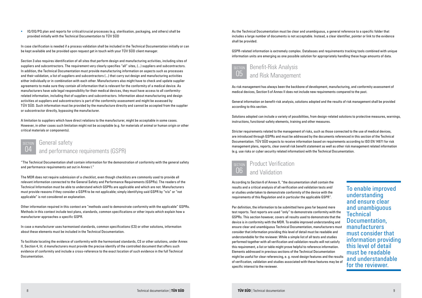As risk management has always been the backbone of development, manufacturing, and conformity assessment of medical devices, Section 5 of Annex II does not include new requirements compared to the past.

General information on benefit-risk analysis, solutions adopted and the results of risk management shall be provided according to this section.

Solutions adopted can include a variety of possibilities, from design-related solutions to protective measures, warnings, instructions, functional-safety elements, training and other measures.

Stricter requirements related to the management of risks, such as those connected to the use of medical devices, are introduced through GSPRs and must be addressed by the documents referenced in this section of the Technical Documentation. TÜV SÜD expects to receive information based on requirements according to ISO EN 14971 for risk management plans, reports, clear overall risk benefit statement as well as other risk management related information (e.g. use risks or cyber security related information) with the Technical Documentation.

 IQ/OQ/PQ plan and reports for critical/crucial processes (e.g. sterilisation, packaging, and others) shall be provided initially with the Technical Documentation to TÜV SÜD

In case clarification is needed if a process validation shall be included in the Technical Documentation initially or can be kept available and be provided upon request get in touch with your TÜV SÜD client manager.

Section 3 also requires identification of all sites that perform design and manufacturing activities, including sites of suppliers and subcontractors. The requirement very clearly specifies "all" sites, (...) suppliers and subcontractors. In addition, the Technical Documentation must provide manufacturing information on aspects such as processes and their validation, a list of suppliers and subcontractors (...) that carry out design and manufacturing activities either individually or in combination with each other. Manufacturers also might have to check and update supplier agreements to make sure they contain all information that is relevant for the conformity of a medical device. As manufacturers have sole legal responsibility for their medical devices, they must have access to all conformityrelated information, including that of suppliers and subcontractors. Information about manufacturing and design activities at suppliers and subcontractors is part of the conformity assessment and might be assessed by TÜV SÜD. Such information must be provided by the manufacture directly and cannot be accepted from the supplier or subcontractor directly, bypassing the manufacturer.

A limitation to suppliers which have direct relations to the manufacturer, might be acceptable in some cases. However, in other cases such limitation might not be acceptable (e.g. for materials of animal or human origin or other critical materials or components).

#### **SECTION** 06 Product Verification and Validation

According to Section 6 of Annex II, "the documentation shall contain the results and a critical analysis of all verification and validation tests and/ or studies undertaken to demonstrate conformity of the device with the requirements of this Regulation and in particular the applicable GSPR".

Per definition, the information to be submitted here goes far beyond mere test reports. Test reports are used "only" to demonstrate conformity with the GSPRs. This section however, covers all results used to demonstrate that the device is in conformity with the MDR. To enable improved understanding and ensure clear and unambiguous Technical Documentation, manufacturers must consider that information providing this level of detail must be readable and understandable for the reviewer. While a simple list of all tests and studies performed together with all verification and validation results will not satisfy this requirement, a list or table might prove helpful to reference information. Elements addressed in previous sections of the Technical Documentation might be useful for clear referencing, e. g. novel design features and the results of verification, validation and studies associated with these features may be of specific interest to the reviewer.

To enable improved understanding and ensure clear and unambiguous **Technical** Documentation, manufacturers must consider that information providing this level of detail must be readable and understandable for the reviewer.

"The Technical Documentation shall contain information for the demonstration of conformity with the general safety and performance requirements set out in Annex I."

The MDR does not require submission of a checklist, even though checklists are commonly used to provide all relevant information connected to the General Safety and Performance Requirements (GSPRs). The readers of the Technical Information must be able to understand which GSPRs are applicable and which are not. Manufacturers must provide reasons if they consider a GSPR to be not applicable; simply identifying said GSPR by "n/a" or "not applicable" is not considered an explanation.

Other information required in this context are "methods used to demonstrate conformity with the applicable" GSPRs. Methods in this context include test plans, standards, common specifications or other inputs which explain how a manufacturer approaches a specific GSPR.

In case a manufacturer uses harmonised standards, common specifications (CS) or other solutions, information about these elements must be included in the Technical Documentation.

To facilitate locating the evidence of conformity with the harmonised standards, CS or other solutions, under Annex II, Section 4, lit. d manufacturers must provide the precise identify of the controlled document that offers such evidence of conformity and include a cross-reference to the exact location of such evidence in the full Technical Documentation.





As the Technical Documentation must be clear and unambiguous, a general reference to a specific folder that includes a large number of documents is not acceptable. Instead, a clear identifier, pointer or link to the evidence shall be provided.

GSPR-related information is extremely complex. Databases and requirements tracking tools combined with unique information units are emerging as one possible solution for appropriately handling these huge amounts of data.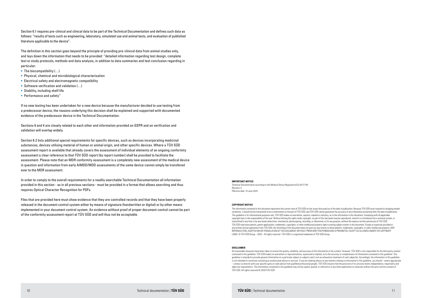#### **COPYRIGHT NOTICE**

The information contained in this document represents the current view of TÜV SÜD on the issues discussed as of the date of publication. Because TÜV SÜD must respond to changing market conditions, it should not be interpreted to be a commitment on the part of TÜV SÜD, and TÜV SÜD cannot guarantee the accuracy of any information presented after the date of publication. This guideline is for informational purposes only. TÜV SÜD makes no warranties, express, implied or statutory, as to the information in this document. Complying with all applicable copyright laws is the responsibility of the user. Without limiting the rights under copyright, no part of this document may be reproduced, stored in or introduced into a retrieval system, or transmitted in any form or by any means (electronic, mechanical, photocopying, recording, or otherwise), or for any purpose, without the express written permission of TÜV SÜD. TÜV SÜD may have patents, patent applications, trademarks, copyrights, or other intellectual property rights covering subject matter in this document. Except as expressly provided in any written license agreement from TÜV SÜD, the furnishing of this document does not give you any license to these patents, trademarks, copyrights, or other intellectual property. ANY REPRODUCTION, ADAPTATION OR TRANSLATION OF THIS DOCUMENT WITHOUT PRIOR WRITTEN PERMISSION IS PROHIBITED, EXCEPT AS ALLOWED UNDER THE COPYRIGHT LAWS. © TÜV SÜD Group – 2020 – All rights reserved - TÜV SÜD is a registered trademark of TÜV SÜD Group.

All reasonable measures have been taken to ensure the quality, reliability, and accuracy of the information in the content. However, TÜV SÜD is not responsible for the third-party content contained in this guideline. TÜV SÜD makes no warranties or representations, expressed or implied, as to the accuracy or completeness of information contained in this guideline. This guideline is intended to provide general information on a particular subject or subjects and is not an exhaustive treatment of such subject(s). Accordingly, the information in this guideline is not intended to constitute consulting or professional advice or services. If you are seeking advice on any matters relating to information in this guideline, you should – where appropriate – contact us directly with your specific query or seek advice from qualified professional people. TÜV SÜD ensures that the provision of its services meets independence, impartiality and objective requirements. The information contained in this guideline may not be copied, quoted, or referred to in any other publication or materials without the prior written consent of TÜV SÜD. All rights reserved © 2020 TÜV SÜD.

#### **IMPORTANT NOTICE**

Technical Documentation according to the Medical Device Regulation (EU) 2017/745 Revision: 0 Effective date: 10 June 2020

#### **DISCLAIMER**

- $\blacksquare$  The biocompatibility  $(...)$
- § Physical, chemical and microbiological characterisation
- Electrical safety and electromagnetic compatibility
- Software verification and validation (...)
- § Stability, including shelf life
- § Performance and safety"

Section 6.1 requires pre-clinical and clinical data to be part of the Technical Documentation and defines such data as follows: "results of tests such as engineering, laboratory, simulated use and animal tests, and evaluation of published literature applicable to the device".

The definition in this section goes beyond the principle of providing pre-clinical data from animal studies only, and lays down the information that needs to be provided: "detailed information regarding test design, complete test or study protocols, methods and data analysis, in addition to data summaries and test conclusion regarding in particular:

If no new testing has been undertaken for a new device because the manufacturer decided to use testing from a predecessor device, the reasons underlying this decision shall be explained and supported with documented evidence of the predecessor device in the Technical Documentation.

Sections 6 and 4 are closely related to each other and information provided on GSPR and on verification and validation will overlap widely.

Section 6.2 lists additional special requirements for specific devices, such as devices incorporating medicinal substances, devices utilising material of human or animal origin, and other specific devices. Where a TÜV SÜD assessment report is available that already covers the assessment of individual elements of an ongoing conformity assessment a clear reference to that TÜV SÜD report (by report number) shall be provided to facilitate the assessment. Please note that an MDR conformity assessment is a completely new assessment of the medical device in question and information from early AIMDD/MDD assessments of the same device cannot simply be transfered over to the MDR assessment.

In order to comply to the overall requirements for a readily searchable Technical Documentation all information provided in this section - as in all previous sections - must be provided in a format that allows searching and thus requires Optical Character Recognition for PDFs.

Files that are provided here must show evidence that they are controlled records and that they have been properly released in the document control system either by means of signature (handwritten or digital) or by other means implemented in your document control system. An evidence without proof of proper document control cannot be part of the conformity assessment report at TÜV SÜD and will thus not be acceptable.